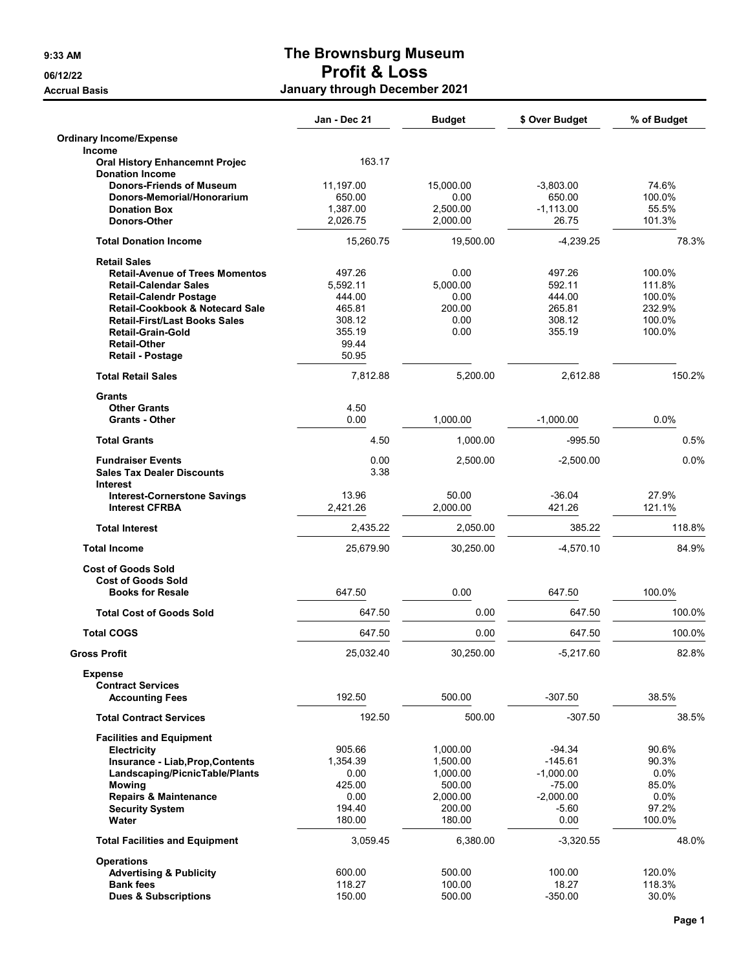## 9:33 AM The Brownsburg Museum 06/12/22 Profit & Loss Accrual Basis **Accrual Basis January through December 2021**

|                                                                 | Jan - Dec 21      | <b>Budget</b>     | \$ Over Budget     | % of Budget     |
|-----------------------------------------------------------------|-------------------|-------------------|--------------------|-----------------|
| <b>Ordinary Income/Expense</b><br>Income                        |                   |                   |                    |                 |
| <b>Oral History Enhancemnt Projec</b><br><b>Donation Income</b> | 163.17            |                   |                    |                 |
| <b>Donors-Friends of Museum</b>                                 | 11,197.00         | 15,000.00         | $-3,803.00$        | 74.6%           |
| Donors-Memorial/Honorarium                                      | 650.00            | 0.00              | 650.00             | 100.0%          |
| <b>Donation Box</b>                                             | 1,387.00          | 2,500.00          | $-1,113.00$        | 55.5%           |
| Donors-Other                                                    | 2,026.75          | 2,000.00          | 26.75              | 101.3%          |
| <b>Total Donation Income</b>                                    | 15,260.75         | 19,500.00         | $-4,239.25$        | 78.3%           |
| <b>Retail Sales</b>                                             |                   |                   |                    |                 |
| <b>Retail-Avenue of Trees Momentos</b>                          | 497.26            | 0.00              | 497.26             | 100.0%          |
| <b>Retail-Calendar Sales</b>                                    | 5,592.11          | 5,000.00          | 592.11             | 111.8%          |
| <b>Retail-Calendr Postage</b>                                   | 444.00            | 0.00              | 444.00             | 100.0%          |
| <b>Retail-Cookbook &amp; Notecard Sale</b>                      | 465.81            | 200.00            | 265.81             | 232.9%          |
| <b>Retail-First/Last Books Sales</b>                            | 308.12            | 0.00              | 308.12             | 100.0%          |
| <b>Retail-Grain-Gold</b>                                        | 355.19<br>99.44   | 0.00              | 355.19             | 100.0%          |
| <b>Retail-Other</b><br><b>Retail - Postage</b>                  | 50.95             |                   |                    |                 |
| <b>Total Retail Sales</b>                                       | 7,812.88          | 5,200.00          | 2,612.88           | 150.2%          |
| <b>Grants</b>                                                   |                   |                   |                    |                 |
| <b>Other Grants</b><br><b>Grants - Other</b>                    | 4.50<br>0.00      | 1,000.00          | $-1,000.00$        | 0.0%            |
| <b>Total Grants</b>                                             | 4.50              | 1,000.00          | $-995.50$          | 0.5%            |
| <b>Fundraiser Events</b>                                        | 0.00              | 2.500.00          | $-2,500.00$        | 0.0%            |
| <b>Sales Tax Dealer Discounts</b><br><b>Interest</b>            | 3.38              |                   |                    |                 |
| <b>Interest-Cornerstone Savings</b><br><b>Interest CFRBA</b>    | 13.96<br>2,421.26 | 50.00<br>2,000.00 | $-36.04$<br>421.26 | 27.9%<br>121.1% |
| <b>Total Interest</b>                                           | 2,435.22          | 2,050.00          | 385.22             | 118.8%          |
| <b>Total Income</b>                                             | 25,679.90         | 30,250.00         | $-4,570.10$        | 84.9%           |
| <b>Cost of Goods Sold</b><br><b>Cost of Goods Sold</b>          |                   |                   |                    |                 |
| <b>Books for Resale</b>                                         | 647.50            | 0.00              | 647.50             | 100.0%          |
| <b>Total Cost of Goods Sold</b>                                 | 647.50            | 0.00              | 647.50             | 100.0%          |
| <b>Total COGS</b>                                               | 647.50            | 0.00              | 647.50             | 100.0%          |
| <b>Gross Profit</b>                                             | 25,032.40         | 30,250.00         | $-5,217.60$        | 82.8%           |
| <b>Expense</b><br><b>Contract Services</b>                      |                   |                   |                    |                 |
| <b>Accounting Fees</b>                                          | 192.50            | 500.00            | $-307.50$          | 38.5%           |
| <b>Total Contract Services</b>                                  | 192.50            | 500.00            | $-307.50$          | 38.5%           |
| <b>Facilities and Equipment</b>                                 |                   |                   |                    |                 |
| <b>Electricity</b>                                              | 905.66            | 1,000.00          | -94.34             | 90.6%           |
| Insurance - Liab, Prop, Contents                                | 1,354.39          | 1,500.00          | $-145.61$          | 90.3%           |
| Landscaping/PicnicTable/Plants                                  | 0.00              | 1,000.00          | $-1,000.00$        | 0.0%            |
| <b>Mowing</b>                                                   | 425.00            | 500.00            | $-75.00$           | 85.0%           |
| <b>Repairs &amp; Maintenance</b>                                | 0.00              | 2,000.00          | $-2,000.00$        | 0.0%            |
| <b>Security System</b><br>Water                                 | 194.40<br>180.00  | 200.00<br>180.00  | $-5.60$<br>0.00    | 97.2%<br>100.0% |
| <b>Total Facilities and Equipment</b>                           | 3,059.45          | 6,380.00          | $-3,320.55$        | 48.0%           |
| <b>Operations</b>                                               |                   |                   |                    |                 |
| <b>Advertising &amp; Publicity</b>                              | 600.00            | 500.00            | 100.00             | 120.0%          |
| <b>Bank fees</b>                                                | 118.27            | 100.00            | 18.27              | 118.3%          |
| <b>Dues &amp; Subscriptions</b>                                 | 150.00            | 500.00            | $-350.00$          | 30.0%           |